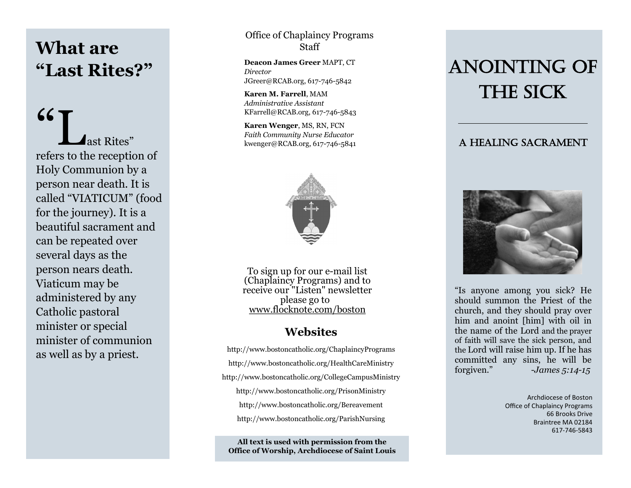# **What are "Last Rites?"**

"Last Rites" refers to the reception of Holy Communion by a person near death. It is called "VIATICUM" (food for the journey). It is a beautiful sacrament and can be repeated over several days as the person nears death. Viaticum may be administered by any Catholic pastoral minister or special minister of communion as well as by a priest.

Office of Chaplaincy Programs Staff

**Deacon James Greer** MAPT, CT *Director* [JGreer@RCAB.org,](mailto:JGreer@RCAB.org) 617-746-5842

**Karen M. Farrell**, MAM *Administrative Assistant* KFarrell@RCAB.org, 617-746-5843

**Karen Wenger**, MS, RN, FCN *Faith Community Nurse Educator*  kwenger@RCAB.org, 617-746-5841



To sign up for our e-mail list (Chaplaincy Programs) and to receive our "Listen" newsletter please go to [www.flocknote.com/boston](http://www.flocknote.com/boston)

#### **Websites**

http://www.bostoncatholic.org/ChaplaincyPrograms http://www.bostoncatholic.org/HealthCareMinistry http://www.bostoncatholic.org/CollegeCampusMinistry http://www.bostoncatholic.org/PrisonMinistry http://www.bostoncatholic.org/Bereavement http://www.bostoncatholic.org/ParishNursing

**All text is used with permission from the Office of Worship, Archdiocese of Saint Louis**

# ANOINTING OF THE SICK

#### A Healing Sacrament



"Is anyone among you sick? He should summon the Priest of the church, and they should pray over him and anoint [him] with oil in the name of the Lord and the prayer of faith will save the sick person, and the Lord will raise him up. If he has committed any sins, he will be forgiven." -*James 5:14-15*

> Archdiocese of Boston Office of Chaplaincy Programs 66 Brooks Drive Braintree MA 02184 617-746-5843